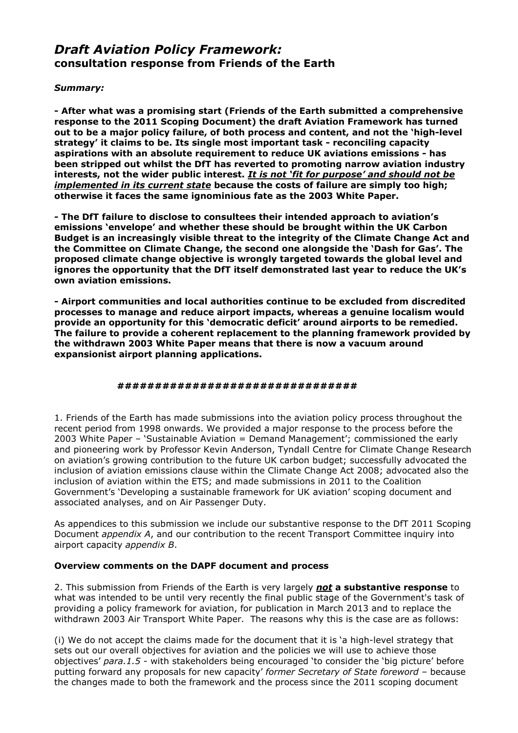# *Draft Aviation Policy Framework:* **consultation response from Friends of the Earth**

### *Summary:*

**- After what was a promising start (Friends of the Earth submitted a comprehensive response to the 2011 Scoping Document) the draft Aviation Framework has turned out to be a major policy failure, of both process and content, and not the 'high-level strategy' it claims to be. Its single most important task - reconciling capacity aspirations with an absolute requirement to reduce UK aviations emissions - has been stripped out whilst the DfT has reverted to promoting narrow aviation industry interests, not the wider public interest.** *It is not 'fit for purpose' and should not be implemented in its current state* **because the costs of failure are simply too high; otherwise it faces the same ignominious fate as the 2003 White Paper.** 

**- The DfT failure to disclose to consultees their intended approach to aviation's emissions 'envelope' and whether these should be brought within the UK Carbon Budget is an increasingly visible threat to the integrity of the Climate Change Act and the Committee on Climate Change, the second one alongside the 'Dash for Gas'. The proposed climate change objective is wrongly targeted towards the global level and ignores the opportunity that the DfT itself demonstrated last year to reduce the UK's own aviation emissions.** 

**- Airport communities and local authorities continue to be excluded from discredited processes to manage and reduce airport impacts, whereas a genuine localism would provide an opportunity for this 'democratic deficit' around airports to be remedied. The failure to provide a coherent replacement to the planning framework provided by the withdrawn 2003 White Paper means that there is now a vacuum around expansionist airport planning applications.**

### **################################**

1. Friends of the Earth has made submissions into the aviation policy process throughout the recent period from 1998 onwards. We provided a major response to the process before the 2003 White Paper – 'Sustainable Aviation = Demand Management'; commissioned the early and pioneering work by Professor Kevin Anderson, Tyndall Centre for Climate Change Research on aviation's growing contribution to the future UK carbon budget; successfully advocated the inclusion of aviation emissions clause within the Climate Change Act 2008; advocated also the inclusion of aviation within the ETS; and made submissions in 2011 to the Coalition Government's 'Developing a sustainable framework for UK aviation' scoping document and associated analyses, and on Air Passenger Duty.

As appendices to this submission we include our substantive response to the DfT 2011 Scoping Document *appendix A*, and our contribution to the recent Transport Committee inquiry into airport capacity *appendix B*.

### **Overview comments on the DAPF document and process**

2. This submission from Friends of the Earth is very largely *not* **a substantive response** to what was intended to be until very recently the final public stage of the Government's task of providing a policy framework for aviation, for publication in March 2013 and to replace the withdrawn 2003 Air Transport White Paper. The reasons why this is the case are as follows:

(i) We do not accept the claims made for the document that it is 'a high-level strategy that sets out our overall objectives for aviation and the policies we will use to achieve those objectives' *para.1.5* - with stakeholders being encouraged 'to consider the 'big picture' before putting forward any proposals for new capacity' *former Secretary of State foreword –* because the changes made to both the framework and the process since the 2011 scoping document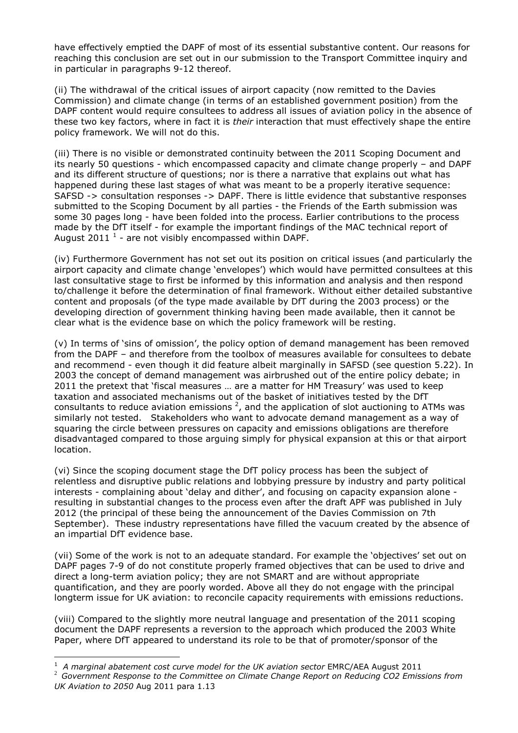have effectively emptied the DAPF of most of its essential substantive content. Our reasons for reaching this conclusion are set out in our submission to the Transport Committee inquiry and in particular in paragraphs 9-12 thereof.

(ii) The withdrawal of the critical issues of airport capacity (now remitted to the Davies Commission) and climate change (in terms of an established government position) from the DAPF content would require consultees to address all issues of aviation policy in the absence of these two key factors, where in fact it is *their* interaction that must effectively shape the entire policy framework. We will not do this.

(iii) There is no visible or demonstrated continuity between the 2011 Scoping Document and its nearly 50 questions - which encompassed capacity and climate change properly – and DAPF and its different structure of questions; nor is there a narrative that explains out what has happened during these last stages of what was meant to be a properly iterative sequence: SAFSD -> consultation responses -> DAPF. There is little evidence that substantive responses submitted to the Scoping Document by all parties - the Friends of the Earth submission was some 30 pages long - have been folded into the process. Earlier contributions to the process made by the DfT itself - for example the important findings of the MAC technical report of August 2011  $^1$  - are not visibly encompassed within DAPF.

(iv) Furthermore Government has not set out its position on critical issues (and particularly the airport capacity and climate change 'envelopes') which would have permitted consultees at this last consultative stage to first be informed by this information and analysis and then respond to/challenge it before the determination of final framework. Without either detailed substantive content and proposals (of the type made available by DfT during the 2003 process) or the developing direction of government thinking having been made available, then it cannot be clear what is the evidence base on which the policy framework will be resting.

(v) In terms of 'sins of omission', the policy option of demand management has been removed from the DAPF – and therefore from the toolbox of measures available for consultees to debate and recommend - even though it did feature albeit marginally in SAFSD (see question 5.22). In 2003 the concept of demand management was airbrushed out of the entire policy debate; in 2011 the pretext that 'fiscal measures … are a matter for HM Treasury' was used to keep taxation and associated mechanisms out of the basket of initiatives tested by the DfT consultants to reduce aviation emissions  $^2$ , and the application of slot auctioning to ATMs was similarly not tested. Stakeholders who want to advocate demand management as a way of squaring the circle between pressures on capacity and emissions obligations are therefore disadvantaged compared to those arguing simply for physical expansion at this or that airport location.

(vi) Since the scoping document stage the DfT policy process has been the subject of relentless and disruptive public relations and lobbying pressure by industry and party political interests - complaining about 'delay and dither', and focusing on capacity expansion alone resulting in substantial changes to the process even after the draft APF was published in July 2012 (the principal of these being the announcement of the Davies Commission on 7th September). These industry representations have filled the vacuum created by the absence of an impartial DfT evidence base.

(vii) Some of the work is not to an adequate standard. For example the 'objectives' set out on DAPF pages 7-9 of do not constitute properly framed objectives that can be used to drive and direct a long-term aviation policy; they are not SMART and are without appropriate quantification, and they are poorly worded. Above all they do not engage with the principal longterm issue for UK aviation: to reconcile capacity requirements with emissions reductions.

(viii) Compared to the slightly more neutral language and presentation of the 2011 scoping document the DAPF represents a reversion to the approach which produced the 2003 White Paper, where DfT appeared to understand its role to be that of promoter/sponsor of the

<sup>1</sup> *A marginal abatement cost curve model for the UK aviation sector* EMRC/AEA August 2011

<sup>2</sup> *Government Response to the Committee on Climate Change Report on Reducing CO2 Emissions from UK Aviation to 2050* Aug 2011 para 1.13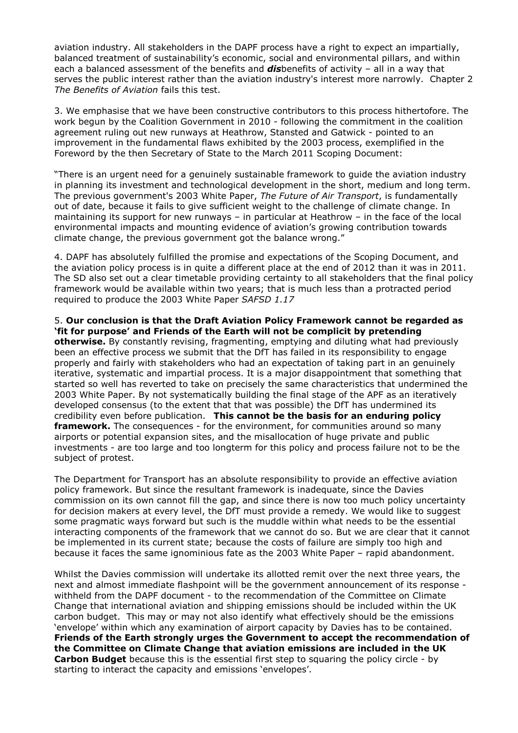aviation industry. All stakeholders in the DAPF process have a right to expect an impartially, balanced treatment of sustainability's economic, social and environmental pillars, and within each a balanced assessment of the benefits and *dis*benefits of activity – all in a way that serves the public interest rather than the aviation industry's interest more narrowly. Chapter 2 *The Benefits of Aviation* fails this test.

3. We emphasise that we have been constructive contributors to this process hithertofore. The work begun by the Coalition Government in 2010 - following the commitment in the coalition agreement ruling out new runways at Heathrow, Stansted and Gatwick - pointed to an improvement in the fundamental flaws exhibited by the 2003 process, exemplified in the Foreword by the then Secretary of State to the March 2011 Scoping Document:

"There is an urgent need for a genuinely sustainable framework to guide the aviation industry in planning its investment and technological development in the short, medium and long term. The previous government's 2003 White Paper, *The Future of Air Transport*, is fundamentally out of date, because it fails to give sufficient weight to the challenge of climate change. In maintaining its support for new runways – in particular at Heathrow – in the face of the local environmental impacts and mounting evidence of aviation's growing contribution towards climate change, the previous government got the balance wrong."

4. DAPF has absolutely fulfilled the promise and expectations of the Scoping Document, and the aviation policy process is in quite a different place at the end of 2012 than it was in 2011. The SD also set out a clear timetable providing certainty to all stakeholders that the final policy framework would be available within two years; that is much less than a protracted period required to produce the 2003 White Paper *SAFSD 1.17* 

5. **Our conclusion is that the Draft Aviation Policy Framework cannot be regarded as 'fit for purpose' and Friends of the Earth will not be complicit by pretending otherwise.** By constantly revising, fragmenting, emptying and diluting what had previously been an effective process we submit that the DfT has failed in its responsibility to engage properly and fairly with stakeholders who had an expectation of taking part in an genuinely iterative, systematic and impartial process. It is a major disappointment that something that started so well has reverted to take on precisely the same characteristics that undermined the 2003 White Paper. By not systematically building the final stage of the APF as an iteratively developed consensus (to the extent that that was possible) the DfT has undermined its credibility even before publication.**This cannot be the basis for an enduring policy framework.** The consequences - for the environment, for communities around so many airports or potential expansion sites, and the misallocation of huge private and public investments - are too large and too longterm for this policy and process failure not to be the subject of protest.

The Department for Transport has an absolute responsibility to provide an effective aviation policy framework. But since the resultant framework is inadequate, since the Davies commission on its own cannot fill the gap, and since there is now too much policy uncertainty for decision makers at every level, the DfT must provide a remedy. We would like to suggest some pragmatic ways forward but such is the muddle within what needs to be the essential interacting components of the framework that we cannot do so. But we are clear that it cannot be implemented in its current state; because the costs of failure are simply too high and because it faces the same ignominious fate as the 2003 White Paper – rapid abandonment.

Whilst the Davies commission will undertake its allotted remit over the next three years, the next and almost immediate flashpoint will be the government announcement of its response withheld from the DAPF document - to the recommendation of the Committee on Climate Change that international aviation and shipping emissions should be included within the UK carbon budget. This may or may not also identify what effectively should be the emissions 'envelope' within which any examination of airport capacity by Davies has to be contained. **Friends of the Earth strongly urges the Government to accept the recommendation of the Committee on Climate Change that aviation emissions are included in the UK Carbon Budget** because this is the essential first step to squaring the policy circle - by starting to interact the capacity and emissions 'envelopes'.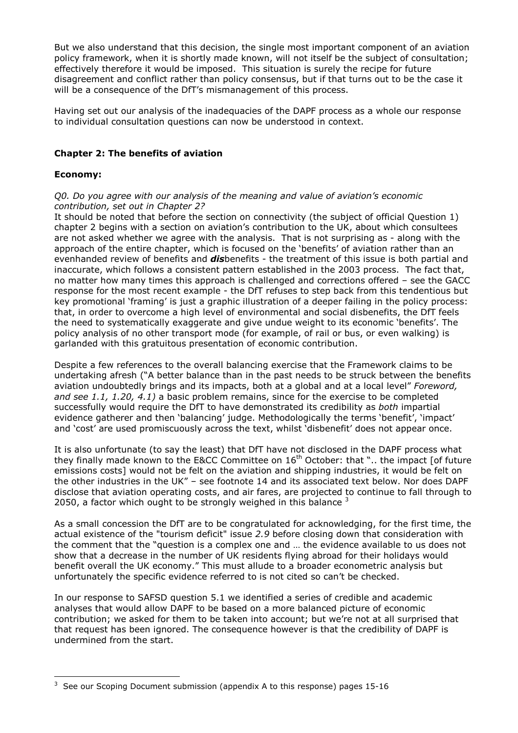But we also understand that this decision, the single most important component of an aviation policy framework, when it is shortly made known, will not itself be the subject of consultation; effectively therefore it would be imposed. This situation is surely the recipe for future disagreement and conflict rather than policy consensus, but if that turns out to be the case it will be a consequence of the DfT's mismanagement of this process.

Having set out our analysis of the inadequacies of the DAPF process as a whole our response to individual consultation questions can now be understood in context.

### **Chapter 2: The benefits of aviation**

### **Economy:**

#### *Q0. Do you agree with our analysis of the meaning and value of aviation's economic contribution, set out in Chapter 2?*

It should be noted that before the section on connectivity (the subject of official Question 1) chapter 2 begins with a section on aviation's contribution to the UK, about which consultees are not asked whether we agree with the analysis. That is not surprising as - along with the approach of the entire chapter, which is focused on the 'benefits' of aviation rather than an evenhanded review of benefits and *dis*benefits - the treatment of this issue is both partial and inaccurate, which follows a consistent pattern established in the 2003 process. The fact that, no matter how many times this approach is challenged and corrections offered – see the GACC response for the most recent example - the DfT refuses to step back from this tendentious but key promotional 'framing' is just a graphic illustration of a deeper failing in the policy process: that, in order to overcome a high level of environmental and social disbenefits, the DfT feels the need to systematically exaggerate and give undue weight to its economic 'benefits'. The policy analysis of no other transport mode (for example, of rail or bus, or even walking) is garlanded with this gratuitous presentation of economic contribution.

Despite a few references to the overall balancing exercise that the Framework claims to be undertaking afresh ("A better balance than in the past needs to be struck between the benefits aviation undoubtedly brings and its impacts, both at a global and at a local level" *Foreword, and see 1.1, 1.20, 4.1)* a basic problem remains, since for the exercise to be completed successfully would require the DfT to have demonstrated its credibility as *both* impartial evidence gatherer and then 'balancing' judge. Methodologically the terms 'benefit', 'impact' and 'cost' are used promiscuously across the text, whilst 'disbenefit' does not appear once.

It is also unfortunate (to say the least) that DfT have not disclosed in the DAPF process what they finally made known to the E&CC Committee on  $16<sup>th</sup>$  October: that ".. the impact [of future emissions costs] would not be felt on the aviation and shipping industries, it would be felt on the other industries in the UK" – see footnote 14 and its associated text below. Nor does DAPF disclose that aviation operating costs, and air fares, are projected to continue to fall through to 2050, a factor which ought to be strongly weighed in this balance  $3$ 

As a small concession the DfT are to be congratulated for acknowledging, for the first time, the actual existence of the "tourism deficit" issue *2.9* before closing down that consideration with the comment that the "question is a complex one and … the evidence available to us does not show that a decrease in the number of UK residents flying abroad for their holidays would benefit overall the UK economy." This must allude to a broader econometric analysis but unfortunately the specific evidence referred to is not cited so can't be checked.

In our response to SAFSD question 5.1 we identified a series of credible and academic analyses that would allow DAPF to be based on a more balanced picture of economic contribution; we asked for them to be taken into account; but we're not at all surprised that that request has been ignored. The consequence however is that the credibility of DAPF is undermined from the start.

 $\overline{a}$ <sup>3</sup> See our Scoping Document submission (appendix A to this response) pages  $15$ -16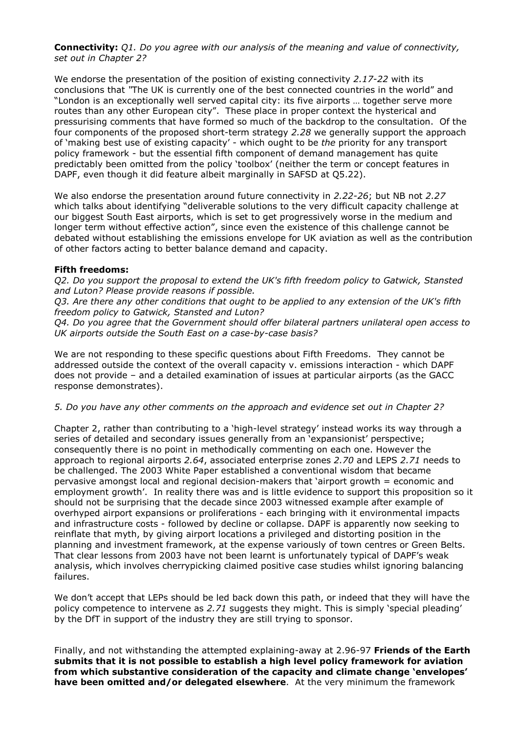**Connectivity:** *Q1. Do you agree with our analysis of the meaning and value of connectivity, set out in Chapter 2?*

We endorse the presentation of the position of existing connectivity *2.17-22* with its conclusions that *"*The UK is currently one of the best connected countries in the world" and "London is an exceptionally well served capital city: its five airports … together serve more routes than any other European city". These place in proper context the hysterical and pressurising comments that have formed so much of the backdrop to the consultation. Of the four components of the proposed short-term strategy *2.28* we generally support the approach of 'making best use of existing capacity' - which ought to be *the* priority for any transport policy framework - but the essential fifth component of demand management has quite predictably been omitted from the policy 'toolbox' (neither the term or concept features in DAPF, even though it did feature albeit marginally in SAFSD at Q5.22).

We also endorse the presentation around future connectivity in *2.22-26*; but NB not *2.27* which talks about identifying "deliverable solutions to the very difficult capacity challenge at our biggest South East airports, which is set to get progressively worse in the medium and longer term without effective action", since even the existence of this challenge cannot be debated without establishing the emissions envelope for UK aviation as well as the contribution of other factors acting to better balance demand and capacity.

### **Fifth freedoms:**

*Q2. Do you support the proposal to extend the UK's fifth freedom policy to Gatwick, Stansted and Luton? Please provide reasons if possible.* 

*Q3. Are there any other conditions that ought to be applied to any extension of the UK's fifth freedom policy to Gatwick, Stansted and Luton?* 

*Q4. Do you agree that the Government should offer bilateral partners unilateral open access to UK airports outside the South East on a case-by-case basis?*

We are not responding to these specific questions about Fifth Freedoms. They cannot be addressed outside the context of the overall capacity v. emissions interaction - which DAPF does not provide – and a detailed examination of issues at particular airports (as the GACC response demonstrates).

#### *5. Do you have any other comments on the approach and evidence set out in Chapter 2?*

Chapter 2, rather than contributing to a 'high-level strategy' instead works its way through a series of detailed and secondary issues generally from an 'expansionist' perspective; consequently there is no point in methodically commenting on each one. However the approach to regional airports *2.64*, associated enterprise zones *2.70* and LEPS *2.71* needs to be challenged. The 2003 White Paper established a conventional wisdom that became pervasive amongst local and regional decision-makers that 'airport growth = economic and employment growth'. In reality there was and is little evidence to support this proposition so it should not be surprising that the decade since 2003 witnessed example after example of overhyped airport expansions or proliferations - each bringing with it environmental impacts and infrastructure costs - followed by decline or collapse. DAPF is apparently now seeking to reinflate that myth, by giving airport locations a privileged and distorting position in the planning and investment framework, at the expense variously of town centres or Green Belts. That clear lessons from 2003 have not been learnt is unfortunately typical of DAPF's weak analysis, which involves cherrypicking claimed positive case studies whilst ignoring balancing failures.

We don't accept that LEPs should be led back down this path, or indeed that they will have the policy competence to intervene as *2.71* suggests they might. This is simply 'special pleading' by the DfT in support of the industry they are still trying to sponsor.

Finally, and not withstanding the attempted explaining-away at 2.96-97 **Friends of the Earth submits that it is not possible to establish a high level policy framework for aviation from which substantive consideration of the capacity and climate change 'envelopes' have been omitted and/or delegated elsewhere**. At the very minimum the framework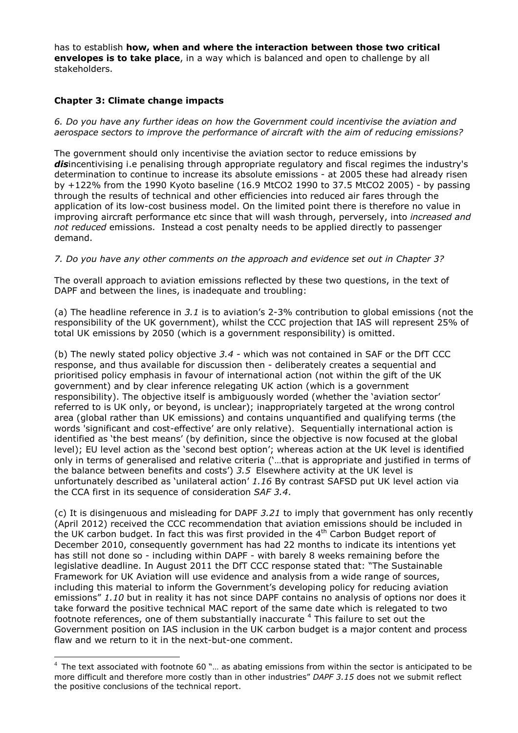has to establish **how, when and where the interaction between those two critical envelopes is to take place**, in a way which is balanced and open to challenge by all stakeholders.

### **Chapter 3: Climate change impacts**

 $\overline{a}$ 

*6. Do you have any further ideas on how the Government could incentivise the aviation and aerospace sectors to improve the performance of aircraft with the aim of reducing emissions?*

The government should only incentivise the aviation sector to reduce emissions by disincentivising i.e penalising through appropriate regulatory and fiscal regimes the industry's determination to continue to increase its absolute emissions - at 2005 these had already risen by +122% from the 1990 Kyoto baseline (16.9 MtCO2 1990 to 37.5 MtCO2 2005) - by passing through the results of technical and other efficiencies into reduced air fares through the application of its low-cost business model. On the limited point there is therefore no value in improving aircraft performance etc since that will wash through, perversely, into *increased and not reduced* emissions. Instead a cost penalty needs to be applied directly to passenger demand.

### *7. Do you have any other comments on the approach and evidence set out in Chapter 3?*

The overall approach to aviation emissions reflected by these two questions, in the text of DAPF and between the lines, is inadequate and troubling:

(a) The headline reference in *3.1* is to aviation's 2-3% contribution to global emissions (not the responsibility of the UK government), whilst the CCC projection that IAS will represent 25% of total UK emissions by 2050 (which is a government responsibility) is omitted.

(b) The newly stated policy objective *3.4 -* which was not contained in SAF or the DfT CCC response, and thus available for discussion then - deliberately creates a sequential and prioritised policy emphasis in favour of international action (not within the gift of the UK government) and by clear inference relegating UK action (which is a government responsibility). The objective itself is ambiguously worded (whether the 'aviation sector' referred to is UK only, or beyond, is unclear); inappropriately targeted at the wrong control area (global rather than UK emissions) and contains unquantified and qualifying terms (the words 'significant and cost-effective' are only relative). Sequentially international action is identified as 'the best means' (by definition, since the objective is now focused at the global level); EU level action as the 'second best option'; whereas action at the UK level is identified only in terms of generalised and relative criteria ('…that is appropriate and justified in terms of the balance between benefits and costs') *3.5* Elsewhere activity at the UK level is unfortunately described as 'unilateral action' *1.16* By contrast SAFSD put UK level action via the CCA first in its sequence of consideration *SAF 3.4*.

(c) It is disingenuous and misleading for DAPF *3.21* to imply that government has only recently (April 2012) received the CCC recommendation that aviation emissions should be included in the UK carbon budget. In fact this was first provided in the 4<sup>th</sup> Carbon Budget report of December 2010, consequently government has had 22 months to indicate its intentions yet has still not done so - including within DAPF - with barely 8 weeks remaining before the legislative deadline. In August 2011 the DfT CCC response stated that: "The Sustainable Framework for UK Aviation will use evidence and analysis from a wide range of sources, including this material to inform the Government's developing policy for reducing aviation emissions" *1.10* but in reality it has not since DAPF contains no analysis of options nor does it take forward the positive technical MAC report of the same date which is relegated to two footnote references, one of them substantially inaccurate <sup>4</sup> This failure to set out the Government position on IAS inclusion in the UK carbon budget is a major content and process flaw and we return to it in the next-but-one comment.

 $4$  The text associated with footnote 60 "... as abating emissions from within the sector is anticipated to be more difficult and therefore more costly than in other industries" *DAPF 3.15* does not we submit reflect the positive conclusions of the technical report.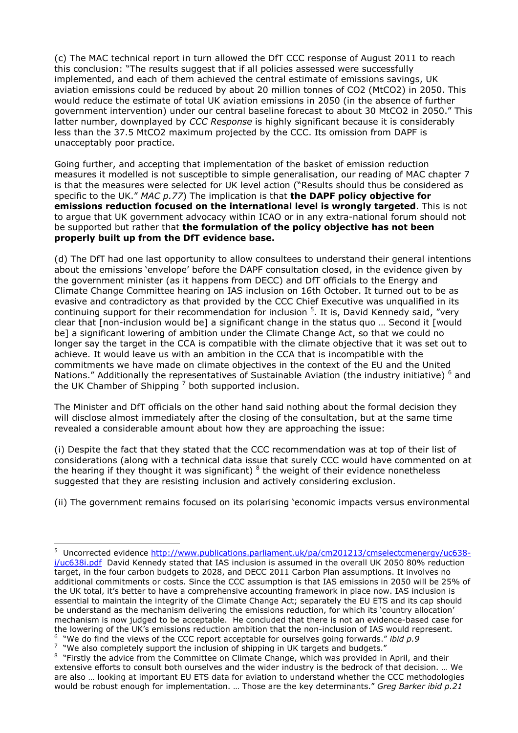(c) The MAC technical report in turn allowed the DfT CCC response of August 2011 to reach this conclusion: "The results suggest that if all policies assessed were successfully implemented, and each of them achieved the central estimate of emissions savings, UK aviation emissions could be reduced by about 20 million tonnes of CO2 (MtCO2) in 2050. This would reduce the estimate of total UK aviation emissions in 2050 (in the absence of further government intervention) under our central baseline forecast to about 30 MtCO2 in 2050." This latter number, downplayed by *CCC Response* is highly significant because it is considerably less than the 37.5 MtCO2 maximum projected by the CCC. Its omission from DAPF is unacceptably poor practice.

Going further, and accepting that implementation of the basket of emission reduction measures it modelled is not susceptible to simple generalisation, our reading of MAC chapter 7 is that the measures were selected for UK level action ("Results should thus be considered as specific to the UK." *MAC p.77*) The implication is that **the DAPF policy objective for emissions reduction focused on the international level is wrongly targeted**. This is not to argue that UK government advocacy within ICAO or in any extra-national forum should not be supported but rather that **the formulation of the policy objective has not been properly built up from the DfT evidence base.** 

(d) The DfT had one last opportunity to allow consultees to understand their general intentions about the emissions 'envelope' before the DAPF consultation closed, in the evidence given by the government minister (as it happens from DECC) and DfT officials to the Energy and Climate Change Committee hearing on IAS inclusion on 16th October. It turned out to be as evasive and contradictory as that provided by the CCC Chief Executive was unqualified in its continuing support for their recommendation for inclusion <sup>5</sup>. It is, David Kennedy said, "very clear that [non-inclusion would be] a significant change in the status quo … Second it [would be] a significant lowering of ambition under the Climate Change Act, so that we could no longer say the target in the CCA is compatible with the climate objective that it was set out to achieve. It would leave us with an ambition in the CCA that is incompatible with the commitments we have made on climate objectives in the context of the EU and the United Nations." Additionally the representatives of Sustainable Aviation (the industry initiative) <sup>6</sup> and the UK Chamber of Shipping  $^7$  both supported inclusion.

The Minister and DfT officials on the other hand said nothing about the formal decision they will disclose almost immediately after the closing of the consultation, but at the same time revealed a considerable amount about how they are approaching the issue:

(i) Despite the fact that they stated that the CCC recommendation was at top of their list of considerations (along with a technical data issue that surely CCC would have commented on at the hearing if they thought it was significant)  $^8$  the weight of their evidence nonetheless suggested that they are resisting inclusion and actively considering exclusion.

(ii) The government remains focused on its polarising 'economic impacts versus environmental

 $7\,$  "We also completely support the inclusion of shipping in UK targets and budgets."

<sup>&</sup>lt;sup>5</sup> Uncorrected evidence http://www.publications.parliament.uk/pa/cm201213/cmselectcmenergy/uc638i/uc638i.pdf David Kennedy stated that IAS inclusion is assumed in the overall UK 2050 80% reduction target, in the four carbon budgets to 2028, and DECC 2011 Carbon Plan assumptions. It involves no additional commitments or costs. Since the CCC assumption is that IAS emissions in 2050 will be 25% of the UK total, it's better to have a comprehensive accounting framework in place now. IAS inclusion is essential to maintain the integrity of the Climate Change Act; separately the EU ETS and its cap should be understand as the mechanism delivering the emissions reduction, for which its 'country allocation' mechanism is now judged to be acceptable. He concluded that there is not an evidence-based case for the lowering of the UK's emissions reduction ambition that the non-inclusion of IAS would represent. 6 "We do find the views of the CCC report acceptable for ourselves going forwards." *ibid p.9* 

<sup>&</sup>lt;sup>8</sup> "Firstly the advice from the Committee on Climate Change, which was provided in April, and their extensive efforts to consult both ourselves and the wider industry is the bedrock of that decision. … We are also … looking at important EU ETS data for aviation to understand whether the CCC methodologies would be robust enough for implementation. … Those are the key determinants." *Greg Barker ibid p.21*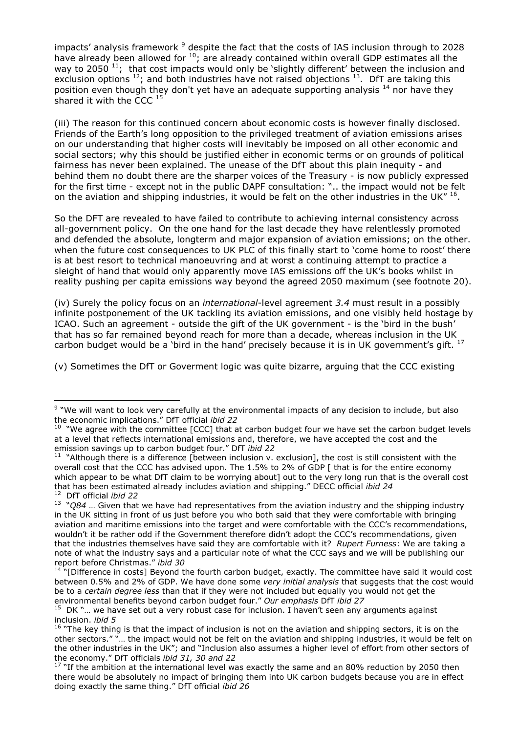impacts' analysis framework <sup>9</sup> despite the fact that the costs of IAS inclusion through to 2028 have already been allowed for  $^{10}$ ; are already contained within overall GDP estimates all the way to 2050<sup>11</sup>; that cost impacts would only be 'slightly different' between the inclusion and exclusion options  $^{12}$ ; and both industries have not raised objections  $^{13}$ . DfT are taking this position even though they don't yet have an adequate supporting analysis <sup>14</sup> nor have they shared it with the CCC  $<sup>15</sup>$ </sup>

(iii) The reason for this continued concern about economic costs is however finally disclosed. Friends of the Earth's long opposition to the privileged treatment of aviation emissions arises on our understanding that higher costs will inevitably be imposed on all other economic and social sectors; why this should be justified either in economic terms or on grounds of political fairness has never been explained. The unease of the DfT about this plain inequity - and behind them no doubt there are the sharper voices of the Treasury - is now publicly expressed for the first time - except not in the public DAPF consultation: ".. the impact would not be felt on the aviation and shipping industries, it would be felt on the other industries in the UK"  $^{16}$ .

So the DFT are revealed to have failed to contribute to achieving internal consistency across all-government policy. On the one hand for the last decade they have relentlessly promoted and defended the absolute, longterm and major expansion of aviation emissions; on the other. when the future cost consequences to UK PLC of this finally start to 'come home to roost' there is at best resort to technical manoeuvring and at worst a continuing attempt to practice a sleight of hand that would only apparently move IAS emissions off the UK's books whilst in reality pushing per capita emissions way beyond the agreed 2050 maximum (see footnote 20).

(iv) Surely the policy focus on an *international*-level agreement *3.4* must result in a possibly infinite postponement of the UK tackling its aviation emissions, and one visibly held hostage by ICAO. Such an agreement - outside the gift of the UK government - is the 'bird in the bush' that has so far remained beyond reach for more than a decade, whereas inclusion in the UK carbon budget would be a `bird in the hand' precisely because it is in UK government's gift.  $^{17}$ 

(v) Sometimes the DfT or Goverment logic was quite bizarre, arguing that the CCC existing

<sup>&</sup>lt;sup>9</sup> "We will want to look very carefully at the environmental impacts of any decision to include, but also the economic implications." DfT official *ibid 22*

 $10$  "We agree with the committee [CCC] that at carbon budget four we have set the carbon budget levels at a level that reflects international emissions and, therefore, we have accepted the cost and the emission savings up to carbon budget four." DfT *ibid 22*

<sup>&</sup>lt;sup>11</sup> "Although there is a difference [between inclusion v. exclusion], the cost is still consistent with the overall cost that the CCC has advised upon. The 1.5% to 2% of GDP [ that is for the entire economy which appear to be what DfT claim to be worrying about] out to the very long run that is the overall cost that has been estimated already includes aviation and shipping." DECC official *ibid 24* <sup>12</sup> DfT official *ibid 22*

<sup>13</sup> "*Q84* … Given that we have had representatives from the aviation industry and the shipping industry in the UK sitting in front of us just before you who both said that they were comfortable with bringing aviation and maritime emissions into the target and were comfortable with the CCC's recommendations, wouldn't it be rather odd if the Government therefore didn't adopt the CCC's recommendations, given that the industries themselves have said they are comfortable with it? *Rupert Furness*: We are taking a note of what the industry says and a particular note of what the CCC says and we will be publishing our report before Christmas." *ibid 30*

 $14$  "[Difference in costs] Beyond the fourth carbon budget, exactly. The committee have said it would cost between 0.5% and 2% of GDP. We have done some *very initial analysis* that suggests that the cost would be to a *certain degree less* than that if they were not included but equally you would not get the environmental benefits beyond carbon budget four." *Our emphasis* DfT *ibid 27*

 $15$  DK "... we have set out a very robust case for inclusion. I haven't seen any arguments against inclusion. *ibid 5*

 $16$  "The key thing is that the impact of inclusion is not on the aviation and shipping sectors, it is on the other sectors." "… the impact would not be felt on the aviation and shipping industries, it would be felt on the other industries in the UK"; and "Inclusion also assumes a higher level of effort from other sectors of the economy." DfT officials *ibid 31, 30 and 22*

 $17$  "If the ambition at the international level was exactly the same and an 80% reduction by 2050 then there would be absolutely no impact of bringing them into UK carbon budgets because you are in effect doing exactly the same thing." DfT official *ibid 26*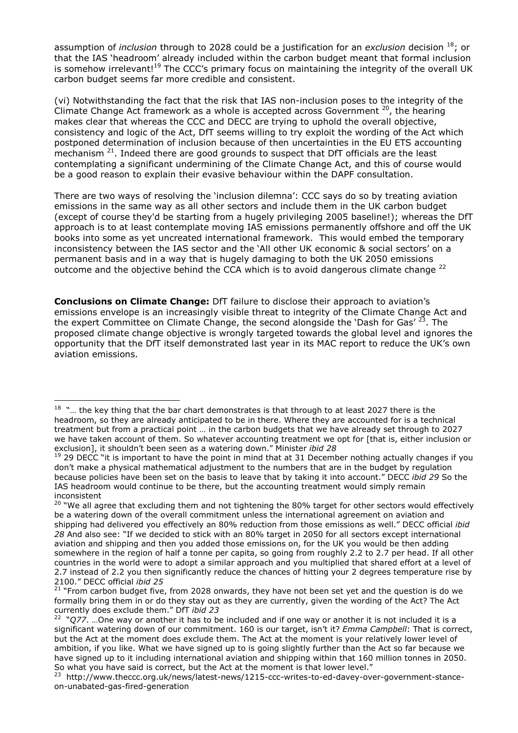assumption of *inclusion* through to 2028 could be a justification for an *exclusion* decision <sup>18</sup>; or that the IAS 'headroom' already included within the carbon budget meant that formal inclusion is somehow irrelevant!<sup>19</sup> The CCC's primary focus on maintaining the integrity of the overall UK carbon budget seems far more credible and consistent.

(vi) Notwithstanding the fact that the risk that IAS non-inclusion poses to the integrity of the Climate Change Act framework as a whole is accepted across Government  $20$ , the hearing makes clear that whereas the CCC and DECC are trying to uphold the overall objective, consistency and logic of the Act, DfT seems willing to try exploit the wording of the Act which postponed determination of inclusion because of then uncertainties in the EU ETS accounting mechanism  $21$ . Indeed there are good grounds to suspect that DfT officials are the least contemplating a significant undermining of the Climate Change Act, and this of course would be a good reason to explain their evasive behaviour within the DAPF consultation.

There are two ways of resolving the 'inclusion dilemna': CCC says do so by treating aviation emissions in the same way as all other sectors and include them in the UK carbon budget (except of course they'd be starting from a hugely privileging 2005 baseline!); whereas the DfT approach is to at least contemplate moving IAS emissions permanently offshore and off the UK books into some as yet uncreated international framework. This would embed the temporary inconsistency between the IAS sector and the 'All other UK economic & social sectors' on a permanent basis and in a way that is hugely damaging to both the UK 2050 emissions outcome and the objective behind the CCA which is to avoid dangerous climate change <sup>22</sup>

**Conclusions on Climate Change:** DfT failure to disclose their approach to aviation's emissions envelope is an increasingly visible threat to integrity of the Climate Change Act and the expert Committee on Climate Change, the second alongside the 'Dash for Gas' <sup>23</sup>. The proposed climate change objective is wrongly targeted towards the global level and ignores the opportunity that the DfT itself demonstrated last year in its MAC report to reduce the UK's own aviation emissions.

 $18$  "... the key thing that the bar chart demonstrates is that through to at least 2027 there is the headroom, so they are already anticipated to be in there. Where they are accounted for is a technical treatment but from a practical point … in the carbon budgets that we have already set through to 2027 we have taken account of them. So whatever accounting treatment we opt for [that is, either inclusion or exclusion], it shouldn't been seen as a watering down." Minister *ibid 28*

 $19$  29 DECC "it is important to have the point in mind that at 31 December nothing actually changes if you don't make a physical mathematical adjustment to the numbers that are in the budget by regulation because policies have been set on the basis to leave that by taking it into account." DECC *ibid 29* So the IAS headroom would continue to be there, but the accounting treatment would simply remain inconsistent

<sup>&</sup>lt;sup>20</sup> "We all agree that excluding them and not tightening the 80% target for other sectors would effectively be a watering down of the overall commitment unless the international agreement on aviation and shipping had delivered you effectively an 80% reduction from those emissions as well." DECC official *ibid 28* And also see: "If we decided to stick with an 80% target in 2050 for all sectors except international aviation and shipping and then you added those emissions on, for the UK you would be then adding somewhere in the region of half a tonne per capita, so going from roughly 2.2 to 2.7 per head. If all other countries in the world were to adopt a similar approach and you multiplied that shared effort at a level of 2.7 instead of 2.2 you then significantly reduce the chances of hitting your 2 degrees temperature rise by 2100." DECC official *ibid 25* 

<sup>&</sup>lt;sup>21</sup> "From carbon budget five, from 2028 onwards, they have not been set yet and the question is do we formally bring them in or do they stay out as they are currently, given the wording of the Act? The Act currently does exclude them." DfT *ibid 23*

<sup>&</sup>lt;sup>22</sup> "Q77. ... One way or another it has to be included and if one way or another it is not included it is a significant watering down of our commitment. 160 is our target, isn't it? *Emma Campbell*: That is correct, but the Act at the moment does exclude them. The Act at the moment is your relatively lower level of ambition, if you like. What we have signed up to is going slightly further than the Act so far because we have signed up to it including international aviation and shipping within that 160 million tonnes in 2050. So what you have said is correct, but the Act at the moment is that lower level."

<sup>23</sup> http://www.theccc.org.uk/news/latest-news/1215-ccc-writes-to-ed-davey-over-government-stanceon-unabated-gas-fired-generation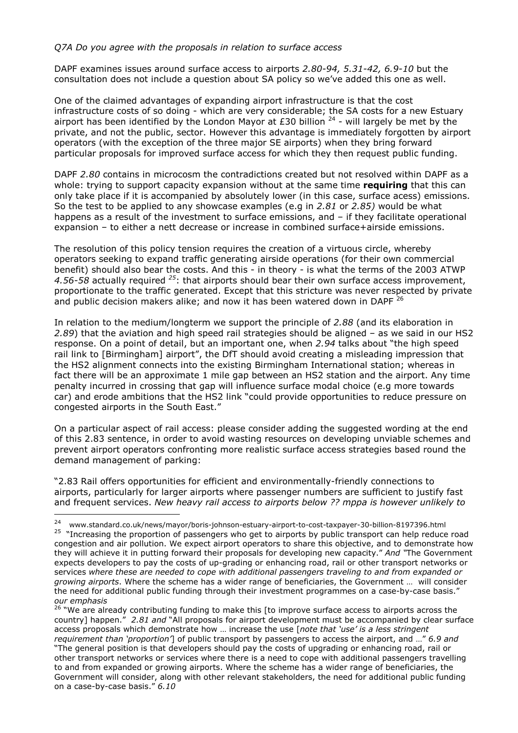### *Q7A Do you agree with the proposals in relation to surface access*

DAPF examines issues around surface access to airports *2.80-94, 5.31-42, 6.9-10* but the consultation does not include a question about SA policy so we've added this one as well.

One of the claimed advantages of expanding airport infrastructure is that the cost infrastructure costs of so doing - which are very considerable; the SA costs for a new Estuary airport has been identified by the London Mayor at £30 billion  $24$  - will largely be met by the private, and not the public, sector. However this advantage is immediately forgotten by airport operators (with the exception of the three major SE airports) when they bring forward particular proposals for improved surface access for which they then request public funding.

DAPF *2.80* contains in microcosm the contradictions created but not resolved within DAPF as a whole: trying to support capacity expansion without at the same time **requiring** that this can only take place if it is accompanied by absolutely lower (in this case, surface acess) emissions. So the test to be applied to any showcase examples (e.g in *2.81* or *2.85)* would be what happens as a result of the investment to surface emissions, and - if they facilitate operational expansion – to either a nett decrease or increase in combined surface+airside emissions.

The resolution of this policy tension requires the creation of a virtuous circle, whereby operators seeking to expand traffic generating airside operations (for their own commercial benefit) should also bear the costs. And this - in theory - is what the terms of the 2003 ATWP *4.56-58* actually required *<sup>25</sup>*: that airports should bear their own surface access improvement, proportionate to the traffic generated. Except that this stricture was never respected by private and public decision makers alike; and now it has been watered down in DAPF<sup>26</sup>

In relation to the medium/longterm we support the principle of *2.88* (and its elaboration in *2.89*) that the aviation and high speed rail strategies should be aligned – as we said in our HS2 response. On a point of detail, but an important one, when *2.94* talks about "the high speed rail link to [Birmingham] airport", the DfT should avoid creating a misleading impression that the HS2 alignment connects into the existing Birmingham International station; whereas in fact there will be an approximate 1 mile gap between an HS2 station and the airport. Any time penalty incurred in crossing that gap will influence surface modal choice (e.g more towards car) and erode ambitions that the HS2 link "could provide opportunities to reduce pressure on congested airports in the South East."

On a particular aspect of rail access: please consider adding the suggested wording at the end of this 2.83 sentence, in order to avoid wasting resources on developing unviable schemes and prevent airport operators confronting more realistic surface access strategies based round the demand management of parking:

"2.83 Rail offers opportunities for efficient and environmentally-friendly connections to airports, particularly for larger airports where passenger numbers are sufficient to justify fast and frequent services. *New heavy rail access to airports below ?? mppa is however unlikely to* 

 $\overline{a}$ 

<sup>26</sup> "We are already contributing funding to make this [to improve surface access to airports across the country] happen." *2.81 and* "All proposals for airport development must be accompanied by clear surface access proposals which demonstrate how … increase the use [*note that 'use' is a less stringent requirement than 'proportion'*] of public transport by passengers to access the airport, and …" *6.9 and* "The general position is that developers should pay the costs of upgrading or enhancing road, rail or other transport networks or services where there is a need to cope with additional passengers travelling to and from expanded or growing airports. Where the scheme has a wider range of beneficiaries, the Government will consider, along with other relevant stakeholders, the need for additional public funding on a case-by-case basis." *6.10*

<sup>24</sup> www.standard.co.uk/news/mayor/boris-johnson-estuary-airport-to-cost-taxpayer-30-billion-8197396.html <sup>25</sup> "Increasing the proportion of passengers who get to airports by public transport can help reduce road congestion and air pollution. We expect airport operators to share this objective, and to demonstrate how they will achieve it in putting forward their proposals for developing new capacity." *And "*The Government expects developers to pay the costs of up-grading or enhancing road, rail or other transport networks or services *where these are needed to cope with additional passengers traveling to and from expanded or growing airports*. Where the scheme has a wider range of beneficiaries, the Government … will consider the need for additional public funding through their investment programmes on a case-by-case basis." *our emphasis*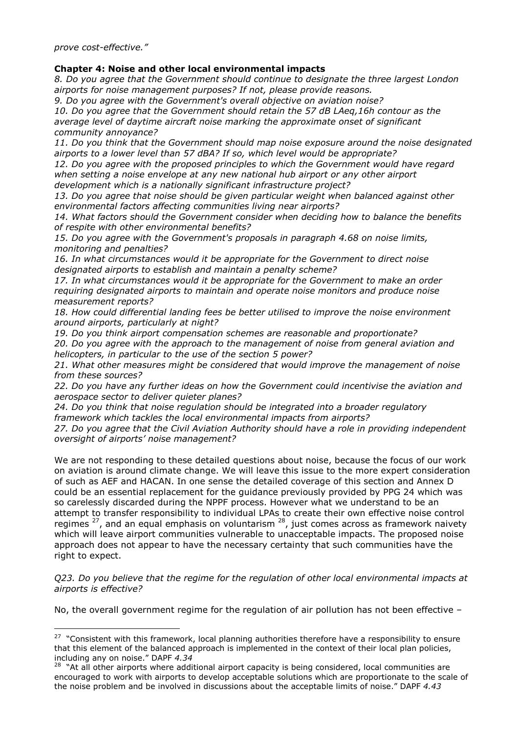*prove cost-effective."* 

### **Chapter 4: Noise and other local environmental impacts**

*8. Do you agree that the Government should continue to designate the three largest London airports for noise management purposes? If not, please provide reasons.* 

*9. Do you agree with the Government's overall objective on aviation noise?* 

*10. Do you agree that the Government should retain the 57 dB LAeq,16h contour as the average level of daytime aircraft noise marking the approximate onset of significant community annoyance?* 

*11. Do you think that the Government should map noise exposure around the noise designated airports to a lower level than 57 dBA? If so, which level would be appropriate?* 

*12. Do you agree with the proposed principles to which the Government would have regard when setting a noise envelope at any new national hub airport or any other airport development which is a nationally significant infrastructure project?* 

*13. Do you agree that noise should be given particular weight when balanced against other environmental factors affecting communities living near airports?* 

*14. What factors should the Government consider when deciding how to balance the benefits of respite with other environmental benefits?* 

*15. Do you agree with the Government's proposals in paragraph 4.68 on noise limits, monitoring and penalties?* 

*16. In what circumstances would it be appropriate for the Government to direct noise designated airports to establish and maintain a penalty scheme?* 

*17. In what circumstances would it be appropriate for the Government to make an order requiring designated airports to maintain and operate noise monitors and produce noise measurement reports?*

*18. How could differential landing fees be better utilised to improve the noise environment around airports, particularly at night?* 

*19. Do you think airport compensation schemes are reasonable and proportionate?* 

*20. Do you agree with the approach to the management of noise from general aviation and helicopters, in particular to the use of the section 5 power?* 

*21. What other measures might be considered that would improve the management of noise from these sources?* 

*22. Do you have any further ideas on how the Government could incentivise the aviation and aerospace sector to deliver quieter planes?*

*24. Do you think that noise regulation should be integrated into a broader regulatory framework which tackles the local environmental impacts from airports?* 

*27. Do you agree that the Civil Aviation Authority should have a role in providing independent oversight of airports' noise management?*

We are not responding to these detailed questions about noise, because the focus of our work on aviation is around climate change. We will leave this issue to the more expert consideration of such as AEF and HACAN. In one sense the detailed coverage of this section and Annex D could be an essential replacement for the guidance previously provided by PPG 24 which was so carelessly discarded during the NPPF process. However what we understand to be an attempt to transfer responsibility to individual LPAs to create their own effective noise control regimes <sup>27</sup>, and an equal emphasis on voluntarism <sup>28</sup>, just comes across as framework naivety which will leave airport communities vulnerable to unacceptable impacts. The proposed noise approach does not appear to have the necessary certainty that such communities have the right to expect.

*Q23. Do you believe that the regime for the regulation of other local environmental impacts at airports is effective?* 

No, the overall government regime for the regulation of air pollution has not been effective –

 $\overline{a}$ <sup>27</sup> "Consistent with this framework, local planning authorities therefore have a responsibility to ensure that this element of the balanced approach is implemented in the context of their local plan policies, including any on noise." DAPF *4.34*

 $28$  "At all other airports where additional airport capacity is being considered, local communities are encouraged to work with airports to develop acceptable solutions which are proportionate to the scale of the noise problem and be involved in discussions about the acceptable limits of noise." DAPF *4.43*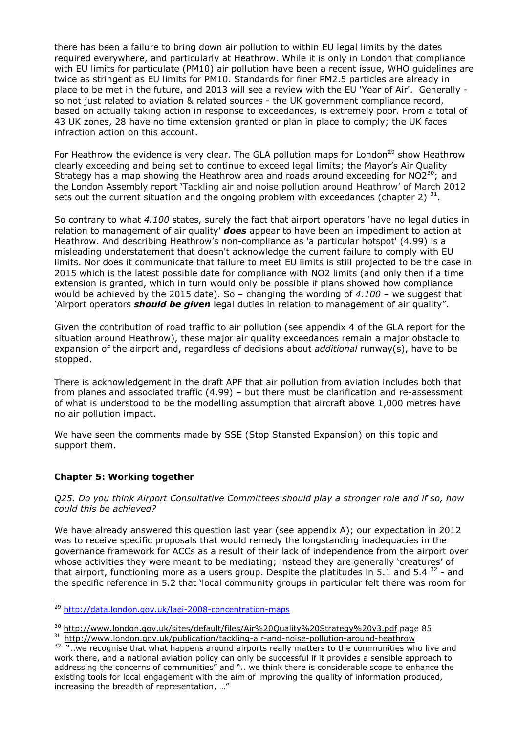there has been a failure to bring down air pollution to within EU legal limits by the dates required everywhere, and particularly at Heathrow. While it is only in London that compliance with EU limits for particulate (PM10) air pollution have been a recent issue, WHO guidelines are twice as stringent as EU limits for PM10. Standards for finer PM2.5 particles are already in place to be met in the future, and 2013 will see a review with the EU 'Year of Air'. Generally so not just related to aviation & related sources - the UK government compliance record, based on actually taking action in response to exceedances, is extremely poor. From a total of 43 UK zones, 28 have no time extension granted or plan in place to comply; the UK faces infraction action on this account.

For Heathrow the evidence is very clear. The GLA pollution maps for London<sup>29</sup> show Heathrow clearly exceeding and being set to continue to exceed legal limits; the Mayor's Air Quality Strategy has a map showing the Heathrow area and roads around exceeding for  $NO2^{30}$ ; and the London Assembly report 'Tackling air and noise pollution around Heathrow' of March 2012 sets out the current situation and the ongoing problem with exceedances (chapter 2)  $^{31}$ .

So contrary to what *4.100* states, surely the fact that airport operators 'have no legal duties in relation to management of air quality' *does* appear to have been an impediment to action at Heathrow. And describing Heathrow's non-compliance as 'a particular hotspot' (4.99) is a misleading understatement that doesn't acknowledge the current failure to comply with EU limits. Nor does it communicate that failure to meet EU limits is still projected to be the case in 2015 which is the latest possible date for compliance with NO2 limits (and only then if a time extension is granted, which in turn would only be possible if plans showed how compliance would be achieved by the 2015 date). So – changing the wording of *4.100 –* we suggest that *'*Airport operators *should be given* legal duties in relation to management of air quality".

Given the contribution of road traffic to air pollution (see appendix 4 of the GLA report for the situation around Heathrow), these major air quality exceedances remain a major obstacle to expansion of the airport and, regardless of decisions about *additional* runway(s), have to be stopped.

There is acknowledgement in the draft APF that air pollution from aviation includes both that from planes and associated traffic (4.99) – but there must be clarification and re-assessment of what is understood to be the modelling assumption that aircraft above 1,000 metres have no air pollution impact.

We have seen the comments made by SSE (Stop Stansted Expansion) on this topic and support them.

## **Chapter 5: Working together**

 $\overline{a}$ 

*Q25. Do you think Airport Consultative Committees should play a stronger role and if so, how could this be achieved?*

We have already answered this question last year (see appendix A); our expectation in 2012 was to receive specific proposals that would remedy the longstanding inadequacies in the governance framework for ACCs as a result of their lack of independence from the airport over whose activities they were meant to be mediating; instead they are generally 'creatures' of that airport, functioning more as a users group. Despite the platitudes in 5.1 and 5.4  $32$  - and the specific reference in 5.2 that 'local community groups in particular felt there was room for

<sup>29</sup> http://data.london.gov.uk/laei-2008-concentration-maps

<sup>&</sup>lt;sup>30</sup> http://www.london.gov.uk/sites/default/files/Air%20Quality%20Strategy%20v3.pdf page 85 31 http://www.london.gov.uk/publication/tackling-air-and-noise-pollution-around-heathrow

<sup>&</sup>lt;sup>32</sup> "..we recognise that what happens around airports really matters to the communities who live and work there, and a national aviation policy can only be successful if it provides a sensible approach to addressing the concerns of communities" and ".. we think there is considerable scope to enhance the existing tools for local engagement with the aim of improving the quality of information produced, increasing the breadth of representation, …"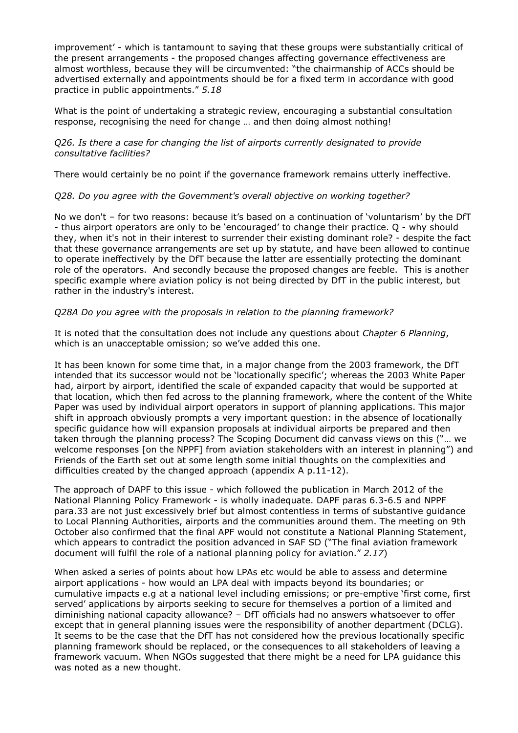improvement' - which is tantamount to saying that these groups were substantially critical of the present arrangements - the proposed changes affecting governance effectiveness are almost worthless, because they will be circumvented: "the chairmanship of ACCs should be advertised externally and appointments should be for a fixed term in accordance with good practice in public appointments." *5.18* 

What is the point of undertaking a strategic review, encouraging a substantial consultation response, recognising the need for change … and then doing almost nothing!

#### *Q26. Is there a case for changing the list of airports currently designated to provide consultative facilities?*

There would certainly be no point if the governance framework remains utterly ineffective.

### *Q28. Do you agree with the Government's overall objective on working together?*

No we don't – for two reasons: because it's based on a continuation of 'voluntarism' by the DfT - thus airport operators are only to be 'encouraged' to change their practice. Q - why should they, when it's not in their interest to surrender their existing dominant role? - despite the fact that these governance arrangements are set up by statute, and have been allowed to continue to operate ineffectively by the DfT because the latter are essentially protecting the dominant role of the operators. And secondly because the proposed changes are feeble. This is another specific example where aviation policy is not being directed by DfT in the public interest, but rather in the industry's interest.

### *Q28A Do you agree with the proposals in relation to the planning framework?*

It is noted that the consultation does not include any questions about *Chapter 6 Planning*, which is an unacceptable omission; so we've added this one.

It has been known for some time that, in a major change from the 2003 framework, the DfT intended that its successor would not be 'locationally specific'; whereas the 2003 White Paper had, airport by airport, identified the scale of expanded capacity that would be supported at that location, which then fed across to the planning framework, where the content of the White Paper was used by individual airport operators in support of planning applications. This major shift in approach obviously prompts a very important question: in the absence of locationally specific guidance how will expansion proposals at individual airports be prepared and then taken through the planning process? The Scoping Document did canvass views on this ("… we welcome responses [on the NPPF] from aviation stakeholders with an interest in planning") and Friends of the Earth set out at some length some initial thoughts on the complexities and difficulties created by the changed approach (appendix A p.11-12).

The approach of DAPF to this issue - which followed the publication in March 2012 of the National Planning Policy Framework - is wholly inadequate. DAPF paras 6.3-6.5 and NPPF para.33 are not just excessively brief but almost contentless in terms of substantive guidance to Local Planning Authorities, airports and the communities around them. The meeting on 9th October also confirmed that the final APF would not constitute a National Planning Statement, which appears to contradict the position advanced in SAF SD ("The final aviation framework document will fulfil the role of a national planning policy for aviation." *2.17*)

When asked a series of points about how LPAs etc would be able to assess and determine airport applications - how would an LPA deal with impacts beyond its boundaries; or cumulative impacts e.g at a national level including emissions; or pre-emptive 'first come, first served' applications by airports seeking to secure for themselves a portion of a limited and diminishing national capacity allowance? – DfT officials had no answers whatsoever to offer except that in general planning issues were the responsibility of another department (DCLG). It seems to be the case that the DfT has not considered how the previous locationally specific planning framework should be replaced, or the consequences to all stakeholders of leaving a framework vacuum. When NGOs suggested that there might be a need for LPA guidance this was noted as a new thought.